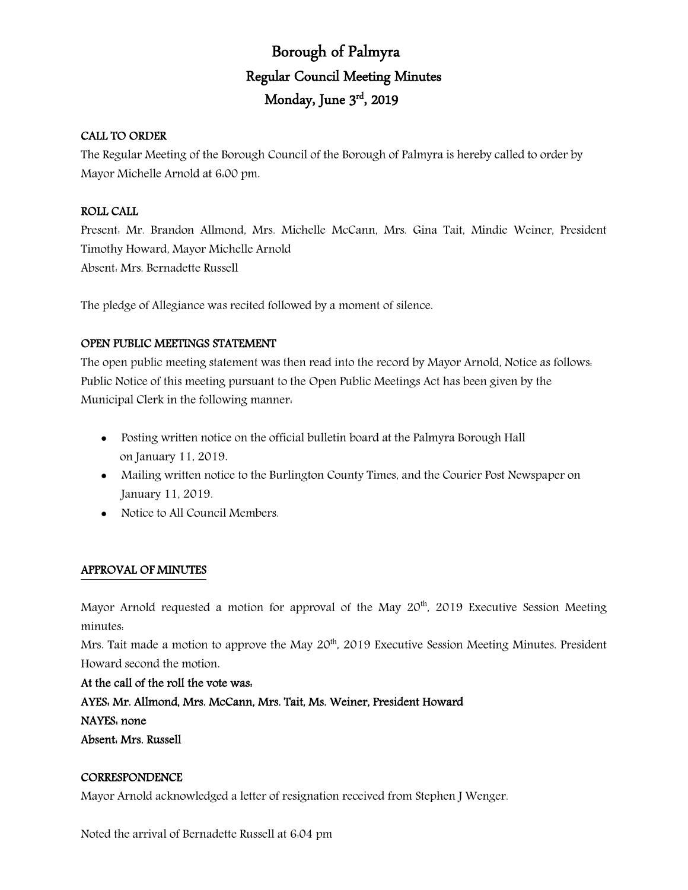# Borough of Palmyra Regular Council Meeting Minutes Monday, June 3rd, 2019

## CALL TO ORDER

The Regular Meeting of the Borough Council of the Borough of Palmyra is hereby called to order by Mayor Michelle Arnold at 6:00 pm.

# ROLL CALL

Present: Mr. Brandon Allmond, Mrs. Michelle McCann, Mrs. Gina Tait, Mindie Weiner, President Timothy Howard, Mayor Michelle Arnold Absent: Mrs. Bernadette Russell

The pledge of Allegiance was recited followed by a moment of silence.

# OPEN PUBLIC MEETINGS STATEMENT

The open public meeting statement was then read into the record by Mayor Arnold, Notice as follows: Public Notice of this meeting pursuant to the Open Public Meetings Act has been given by the Municipal Clerk in the following manner:

- Posting written notice on the official bulletin board at the Palmyra Borough Hall on January 11, 2019.
- Mailing written notice to the Burlington County Times, and the Courier Post Newspaper on January 11, 2019.
- Notice to All Council Members.

# APPROVAL OF MINUTES

Mayor Arnold requested a motion for approval of the May 20<sup>th</sup>, 2019 Executive Session Meeting minutes:

Mrs. Tait made a motion to approve the May 20<sup>th</sup>, 2019 Executive Session Meeting Minutes. President Howard second the motion.

At the call of the roll the vote was:

AYES: Mr. Allmond, Mrs. McCann, Mrs. Tait, Ms. Weiner, President Howard

NAYES: none

Absent: Mrs. Russell

#### **CORRESPONDENCE**

Mayor Arnold acknowledged a letter of resignation received from Stephen J Wenger.

Noted the arrival of Bernadette Russell at 6:04 pm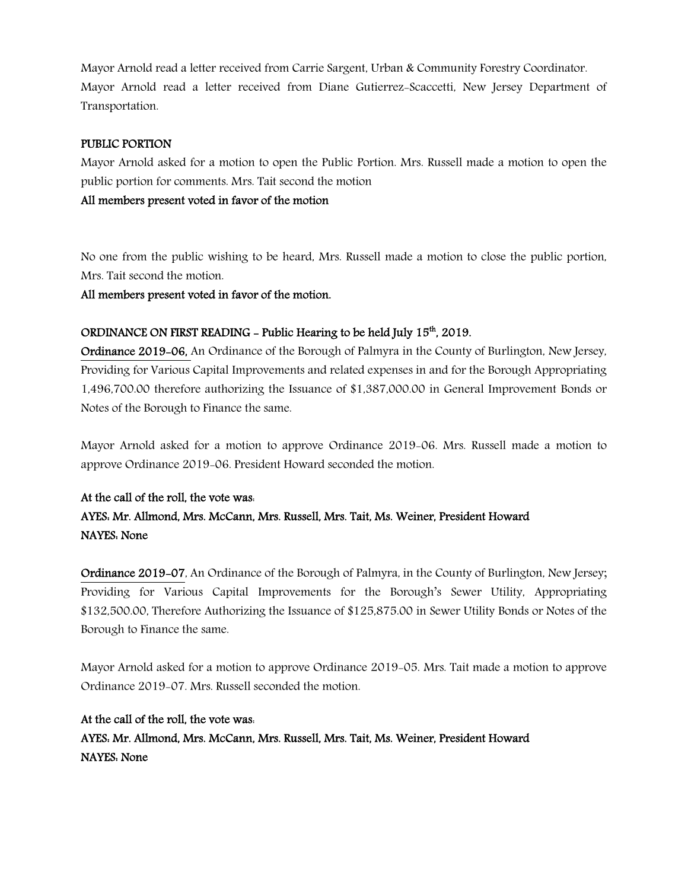Mayor Arnold read a letter received from Carrie Sargent, Urban & Community Forestry Coordinator. Mayor Arnold read a letter received from Diane Gutierrez-Scaccetti, New Jersey Department of Transportation.

#### PUBLIC PORTION

Mayor Arnold asked for a motion to open the Public Portion. Mrs. Russell made a motion to open the public portion for comments. Mrs. Tait second the motion

All members present voted in favor of the motion

No one from the public wishing to be heard, Mrs. Russell made a motion to close the public portion, Mrs. Tait second the motion.

All members present voted in favor of the motion.

# ORDINANCE ON FIRST READING – Public Hearing to be held July  $15<sup>th</sup>$ , 2019.

Ordinance 2019-06, An Ordinance of the Borough of Palmyra in the County of Burlington, New Jersey, Providing for Various Capital Improvements and related expenses in and for the Borough Appropriating 1,496,700.00 therefore authorizing the Issuance of \$1,387,000.00 in General Improvement Bonds or Notes of the Borough to Finance the same.

Mayor Arnold asked for a motion to approve Ordinance 2019-06. Mrs. Russell made a motion to approve Ordinance 2019-06. President Howard seconded the motion.

# At the call of the roll, the vote was: AYES: Mr. Allmond, Mrs. McCann, Mrs. Russell, Mrs. Tait, Ms. Weiner, President Howard NAYES: None

Ordinance 2019-07, An Ordinance of the Borough of Palmyra, in the County of Burlington, New Jersey; Providing for Various Capital Improvements for the Borough's Sewer Utility, Appropriating \$132,500.00, Therefore Authorizing the Issuance of \$125,875.00 in Sewer Utility Bonds or Notes of the Borough to Finance the same.

Mayor Arnold asked for a motion to approve Ordinance 2019-05. Mrs. Tait made a motion to approve Ordinance 2019-07. Mrs. Russell seconded the motion.

At the call of the roll, the vote was: AYES: Mr. Allmond, Mrs. McCann, Mrs. Russell, Mrs. Tait, Ms. Weiner, President Howard NAYES: None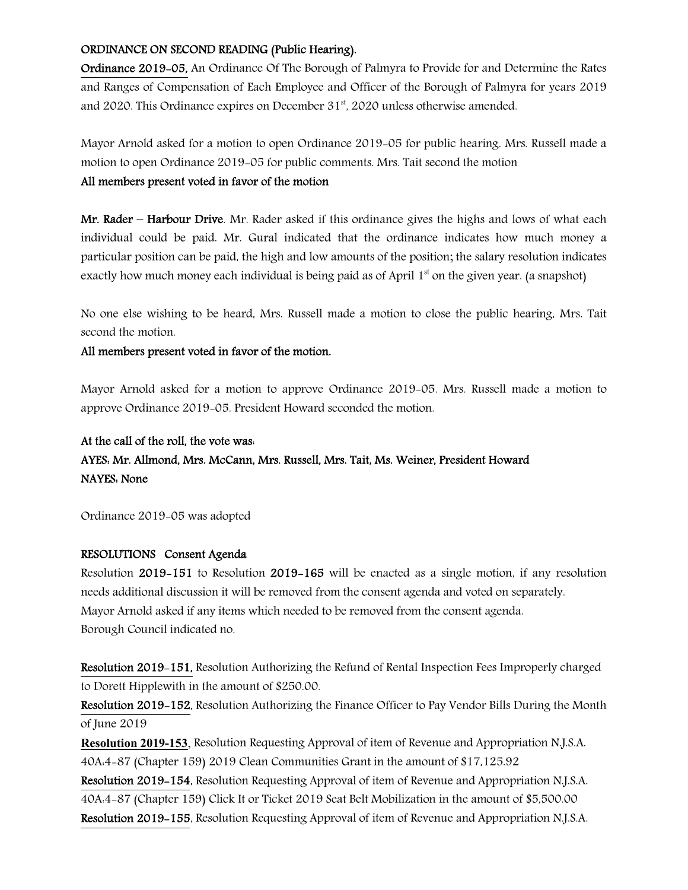#### ORDINANCE ON SECOND READING (Public Hearing).

Ordinance 2019-05, An Ordinance Of The Borough of Palmyra to Provide for and Determine the Rates and Ranges of Compensation of Each Employee and Officer of the Borough of Palmyra for years 2019 and 2020. This Ordinance expires on December 31<sup>st</sup>, 2020 unless otherwise amended.

Mayor Arnold asked for a motion to open Ordinance 2019-05 for public hearing. Mrs. Russell made a motion to open Ordinance 2019-05 for public comments. Mrs. Tait second the motion

## All members present voted in favor of the motion

Mr. Rader – Harbour Drive. Mr. Rader asked if this ordinance gives the highs and lows of what each individual could be paid. Mr. Gural indicated that the ordinance indicates how much money a particular position can be paid, the high and low amounts of the position; the salary resolution indicates exactly how much money each individual is being paid as of April  $1<sup>st</sup>$  on the given year. (a snapshot)

No one else wishing to be heard, Mrs. Russell made a motion to close the public hearing, Mrs. Tait second the motion.

#### All members present voted in favor of the motion.

Mayor Arnold asked for a motion to approve Ordinance 2019-05. Mrs. Russell made a motion to approve Ordinance 2019-05. President Howard seconded the motion.

# At the call of the roll, the vote was: AYES: Mr. Allmond, Mrs. McCann, Mrs. Russell, Mrs. Tait, Ms. Weiner, President Howard NAYES: None

Ordinance 2019-05 was adopted

#### RESOLUTIONS Consent Agenda

Resolution 2019-151 to Resolution 2019-165 will be enacted as a single motion, if any resolution needs additional discussion it will be removed from the consent agenda and voted on separately. Mayor Arnold asked if any items which needed to be removed from the consent agenda. Borough Council indicated no.

Resolution 2019-151, Resolution Authorizing the Refund of Rental Inspection Fees Improperly charged to Dorett Hipplewith in the amount of \$250.00.

Resolution 2019-152, Resolution Authorizing the Finance Officer to Pay Vendor Bills During the Month of June 2019

Resolution 2019-153, Resolution Requesting Approval of item of Revenue and Appropriation N.J.S.A. 40A:4-87 (Chapter 159) 2019 Clean Communities Grant in the amount of \$17,125.92

Resolution 2019-154, Resolution Requesting Approval of item of Revenue and Appropriation N.J.S.A. 40A:4-87 (Chapter 159) Click It or Ticket 2019 Seat Belt Mobilization in the amount of \$5,500.00 Resolution 2019-155, Resolution Requesting Approval of item of Revenue and Appropriation N.J.S.A.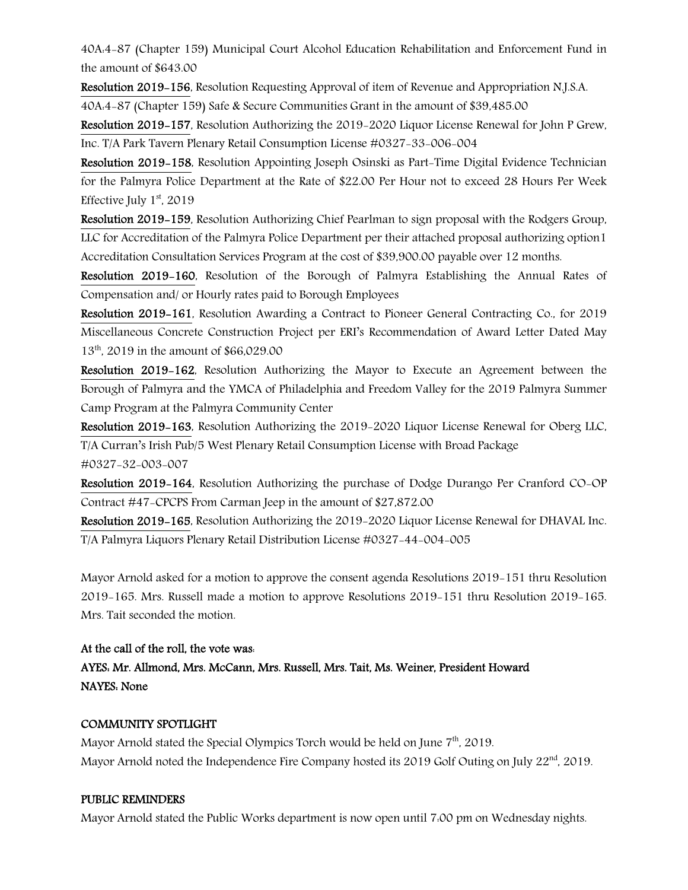40A:4-87 (Chapter 159) Municipal Court Alcohol Education Rehabilitation and Enforcement Fund in the amount of \$643.00

Resolution 2019-156, Resolution Requesting Approval of item of Revenue and Appropriation N.J.S.A.

40A:4-87 (Chapter 159) Safe & Secure Communities Grant in the amount of \$39,485.00

Resolution 2019-157, Resolution Authorizing the 2019-2020 Liquor License Renewal for John P Grew, Inc. T/A Park Tavern Plenary Retail Consumption License #0327-33-006-004

Resolution 2019-158, Resolution Appointing Joseph Osinski as Part-Time Digital Evidence Technician for the Palmyra Police Department at the Rate of \$22.00 Per Hour not to exceed 28 Hours Per Week Effective July  $1<sup>st</sup>$ , 2019

Resolution 2019-159, Resolution Authorizing Chief Pearlman to sign proposal with the Rodgers Group, LLC for Accreditation of the Palmyra Police Department per their attached proposal authorizing option1 Accreditation Consultation Services Program at the cost of \$39,900.00 payable over 12 months.

Resolution 2019-160, Resolution of the Borough of Palmyra Establishing the Annual Rates of Compensation and/ or Hourly rates paid to Borough Employees

Resolution 2019-161, Resolution Awarding a Contract to Pioneer General Contracting Co., for 2019 Miscellaneous Concrete Construction Project per ERI's Recommendation of Award Letter Dated May 13<sup>th</sup>, 2019 in the amount of \$66,029.00

Resolution 2019-162, Resolution Authorizing the Mayor to Execute an Agreement between the Borough of Palmyra and the YMCA of Philadelphia and Freedom Valley for the 2019 Palmyra Summer Camp Program at the Palmyra Community Center

Resolution 2019-163, Resolution Authorizing the 2019-2020 Liquor License Renewal for Oberg LLC, T/A Curran's Irish Pub/5 West Plenary Retail Consumption License with Broad Package #0327-32-003-007

Resolution 2019-164, Resolution Authorizing the purchase of Dodge Durango Per Cranford CO-OP Contract #47-CPCPS From Carman Jeep in the amount of \$27,872.00

Resolution 2019-165, Resolution Authorizing the 2019-2020 Liquor License Renewal for DHAVAL Inc. T/A Palmyra Liquors Plenary Retail Distribution License #0327-44-004-005

Mayor Arnold asked for a motion to approve the consent agenda Resolutions 2019-151 thru Resolution 2019-165. Mrs. Russell made a motion to approve Resolutions 2019-151 thru Resolution 2019-165. Mrs. Tait seconded the motion.

# At the call of the roll, the vote was:

# AYES: Mr. Allmond, Mrs. McCann, Mrs. Russell, Mrs. Tait, Ms. Weiner, President Howard NAYES: None

# COMMUNITY SPOTLIGHT

Mayor Arnold stated the Special Olympics Torch would be held on June 7<sup>th</sup>, 2019. Mayor Arnold noted the Independence Fire Company hosted its 2019 Golf Outing on July 22<sup>nd</sup>, 2019.

# PUBLIC REMINDERS

Mayor Arnold stated the Public Works department is now open until 7:00 pm on Wednesday nights.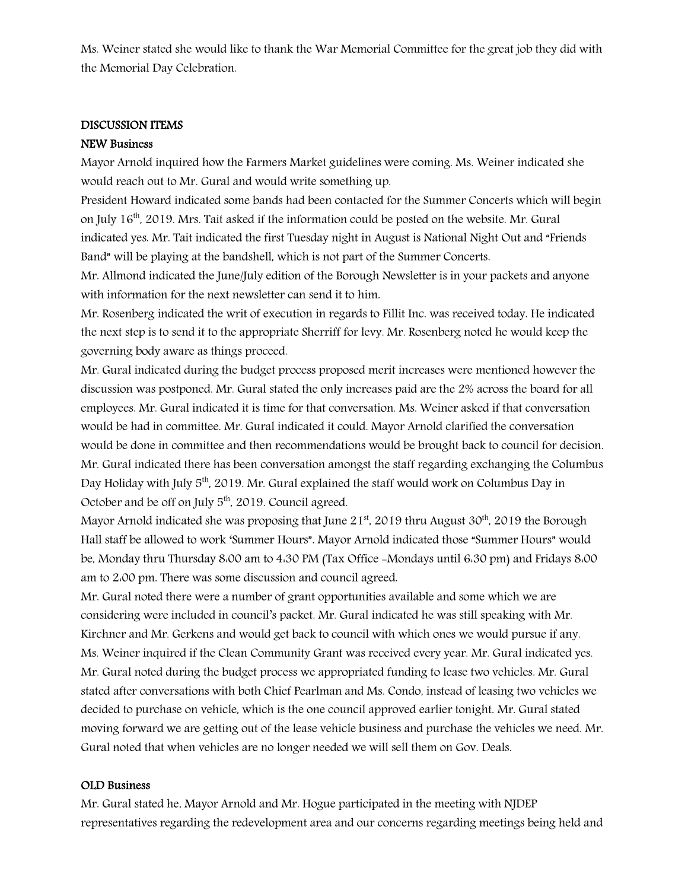Ms. Weiner stated she would like to thank the War Memorial Committee for the great job they did with the Memorial Day Celebration.

#### DISCUSSION ITEMS

#### NEW Business

Mayor Arnold inquired how the Farmers Market guidelines were coming. Ms. Weiner indicated she would reach out to Mr. Gural and would write something up.

President Howard indicated some bands had been contacted for the Summer Concerts which will begin on July 16th, 2019. Mrs. Tait asked if the information could be posted on the website. Mr. Gural indicated yes. Mr. Tait indicated the first Tuesday night in August is National Night Out and "Friends Band" will be playing at the bandshell, which is not part of the Summer Concerts.

Mr. Allmond indicated the June/July edition of the Borough Newsletter is in your packets and anyone with information for the next newsletter can send it to him.

Mr. Rosenberg indicated the writ of execution in regards to Fillit Inc. was received today. He indicated the next step is to send it to the appropriate Sherriff for levy. Mr. Rosenberg noted he would keep the governing body aware as things proceed.

Mr. Gural indicated during the budget process proposed merit increases were mentioned however the discussion was postponed. Mr. Gural stated the only increases paid are the 2% across the board for all employees. Mr. Gural indicated it is time for that conversation. Ms. Weiner asked if that conversation would be had in committee. Mr. Gural indicated it could. Mayor Arnold clarified the conversation would be done in committee and then recommendations would be brought back to council for decision. Mr. Gural indicated there has been conversation amongst the staff regarding exchanging the Columbus Day Holiday with July 5<sup>th</sup>, 2019. Mr. Gural explained the staff would work on Columbus Day in October and be off on July  $5<sup>th</sup>$ , 2019. Council agreed.

Mayor Arnold indicated she was proposing that June  $21<sup>st</sup>$ , 2019 thru August 30<sup>th</sup>, 2019 the Borough Hall staff be allowed to work 'Summer Hours". Mayor Arnold indicated those "Summer Hours" would be, Monday thru Thursday 8:00 am to 4:30 PM (Tax Office -Mondays until 6:30 pm) and Fridays 8:00 am to 2:00 pm. There was some discussion and council agreed.

Mr. Gural noted there were a number of grant opportunities available and some which we are considering were included in council's packet. Mr. Gural indicated he was still speaking with Mr. Kirchner and Mr. Gerkens and would get back to council with which ones we would pursue if any. Ms. Weiner inquired if the Clean Community Grant was received every year. Mr. Gural indicated yes. Mr. Gural noted during the budget process we appropriated funding to lease two vehicles. Mr. Gural stated after conversations with both Chief Pearlman and Ms. Condo, instead of leasing two vehicles we decided to purchase on vehicle, which is the one council approved earlier tonight. Mr. Gural stated moving forward we are getting out of the lease vehicle business and purchase the vehicles we need. Mr. Gural noted that when vehicles are no longer needed we will sell them on Gov. Deals.

#### OLD Business

Mr. Gural stated he, Mayor Arnold and Mr. Hogue participated in the meeting with NJDEP representatives regarding the redevelopment area and our concerns regarding meetings being held and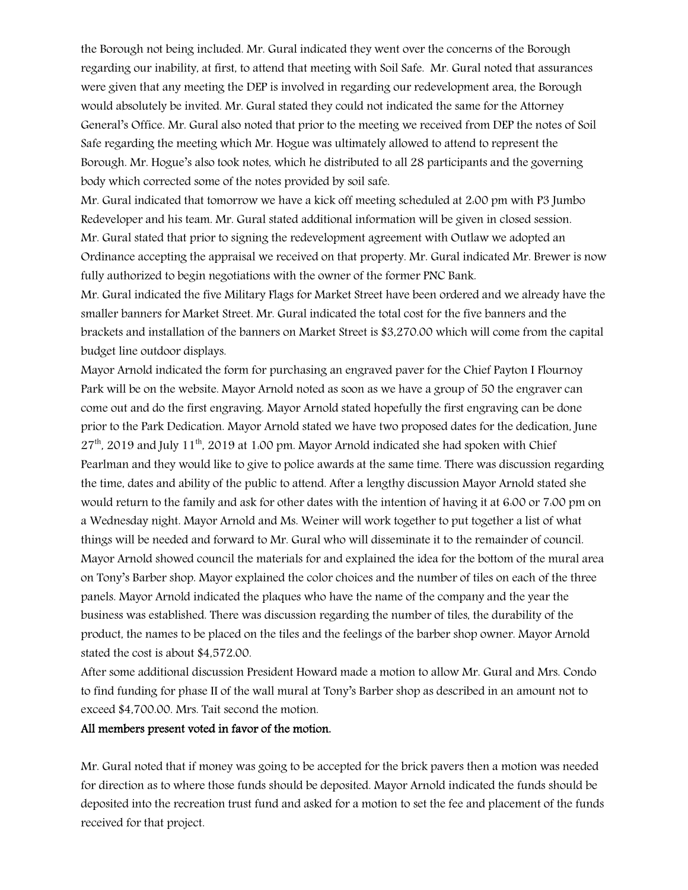the Borough not being included. Mr. Gural indicated they went over the concerns of the Borough regarding our inability, at first, to attend that meeting with Soil Safe. Mr. Gural noted that assurances were given that any meeting the DEP is involved in regarding our redevelopment area, the Borough would absolutely be invited. Mr. Gural stated they could not indicated the same for the Attorney General's Office. Mr. Gural also noted that prior to the meeting we received from DEP the notes of Soil Safe regarding the meeting which Mr. Hogue was ultimately allowed to attend to represent the Borough. Mr. Hogue's also took notes, which he distributed to all 28 participants and the governing body which corrected some of the notes provided by soil safe.

Mr. Gural indicated that tomorrow we have a kick off meeting scheduled at 2:00 pm with P3 Jumbo Redeveloper and his team. Mr. Gural stated additional information will be given in closed session. Mr. Gural stated that prior to signing the redevelopment agreement with Outlaw we adopted an Ordinance accepting the appraisal we received on that property. Mr. Gural indicated Mr. Brewer is now fully authorized to begin negotiations with the owner of the former PNC Bank.

Mr. Gural indicated the five Military Flags for Market Street have been ordered and we already have the smaller banners for Market Street. Mr. Gural indicated the total cost for the five banners and the brackets and installation of the banners on Market Street is \$3,270.00 which will come from the capital budget line outdoor displays.

Mayor Arnold indicated the form for purchasing an engraved paver for the Chief Payton I Flournoy Park will be on the website. Mayor Arnold noted as soon as we have a group of 50 the engraver can come out and do the first engraving. Mayor Arnold stated hopefully the first engraving can be done prior to the Park Dedication. Mayor Arnold stated we have two proposed dates for the dedication, June  $27<sup>th</sup>$ , 2019 and July 11<sup>th</sup>, 2019 at 1:00 pm. Mayor Arnold indicated she had spoken with Chief Pearlman and they would like to give to police awards at the same time. There was discussion regarding the time, dates and ability of the public to attend. After a lengthy discussion Mayor Arnold stated she would return to the family and ask for other dates with the intention of having it at 6:00 or 7:00 pm on a Wednesday night. Mayor Arnold and Ms. Weiner will work together to put together a list of what things will be needed and forward to Mr. Gural who will disseminate it to the remainder of council. Mayor Arnold showed council the materials for and explained the idea for the bottom of the mural area on Tony's Barber shop. Mayor explained the color choices and the number of tiles on each of the three panels. Mayor Arnold indicated the plaques who have the name of the company and the year the business was established. There was discussion regarding the number of tiles, the durability of the product, the names to be placed on the tiles and the feelings of the barber shop owner. Mayor Arnold stated the cost is about \$4,572.00.

After some additional discussion President Howard made a motion to allow Mr. Gural and Mrs. Condo to find funding for phase II of the wall mural at Tony's Barber shop as described in an amount not to exceed \$4,700.00. Mrs. Tait second the motion.

#### All members present voted in favor of the motion.

Mr. Gural noted that if money was going to be accepted for the brick pavers then a motion was needed for direction as to where those funds should be deposited. Mayor Arnold indicated the funds should be deposited into the recreation trust fund and asked for a motion to set the fee and placement of the funds received for that project.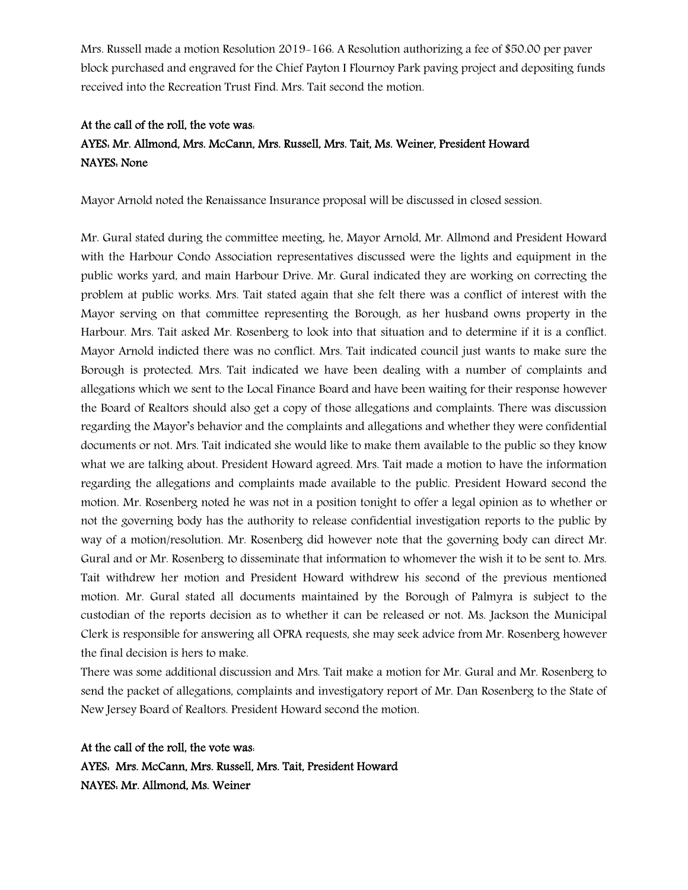Mrs. Russell made a motion Resolution 2019-166. A Resolution authorizing a fee of \$50.00 per paver block purchased and engraved for the Chief Payton I Flournoy Park paving project and depositing funds received into the Recreation Trust Find. Mrs. Tait second the motion.

# At the call of the roll, the vote was: AYES: Mr. Allmond, Mrs. McCann, Mrs. Russell, Mrs. Tait, Ms. Weiner, President Howard NAYES: None

Mayor Arnold noted the Renaissance Insurance proposal will be discussed in closed session.

Mr. Gural stated during the committee meeting, he, Mayor Arnold, Mr. Allmond and President Howard with the Harbour Condo Association representatives discussed were the lights and equipment in the public works yard, and main Harbour Drive. Mr. Gural indicated they are working on correcting the problem at public works. Mrs. Tait stated again that she felt there was a conflict of interest with the Mayor serving on that committee representing the Borough, as her husband owns property in the Harbour. Mrs. Tait asked Mr. Rosenberg to look into that situation and to determine if it is a conflict. Mayor Arnold indicted there was no conflict. Mrs. Tait indicated council just wants to make sure the Borough is protected. Mrs. Tait indicated we have been dealing with a number of complaints and allegations which we sent to the Local Finance Board and have been waiting for their response however the Board of Realtors should also get a copy of those allegations and complaints. There was discussion regarding the Mayor's behavior and the complaints and allegations and whether they were confidential documents or not. Mrs. Tait indicated she would like to make them available to the public so they know what we are talking about. President Howard agreed. Mrs. Tait made a motion to have the information regarding the allegations and complaints made available to the public. President Howard second the motion. Mr. Rosenberg noted he was not in a position tonight to offer a legal opinion as to whether or not the governing body has the authority to release confidential investigation reports to the public by way of a motion/resolution. Mr. Rosenberg did however note that the governing body can direct Mr. Gural and or Mr. Rosenberg to disseminate that information to whomever the wish it to be sent to. Mrs. Tait withdrew her motion and President Howard withdrew his second of the previous mentioned motion. Mr. Gural stated all documents maintained by the Borough of Palmyra is subject to the custodian of the reports decision as to whether it can be released or not. Ms. Jackson the Municipal Clerk is responsible for answering all OPRA requests, she may seek advice from Mr. Rosenberg however the final decision is hers to make.

There was some additional discussion and Mrs. Tait make a motion for Mr. Gural and Mr. Rosenberg to send the packet of allegations, complaints and investigatory report of Mr. Dan Rosenberg to the State of New Jersey Board of Realtors. President Howard second the motion.

At the call of the roll, the vote was: AYES: Mrs. McCann, Mrs. Russell, Mrs. Tait, President Howard NAYES: Mr. Allmond, Ms. Weiner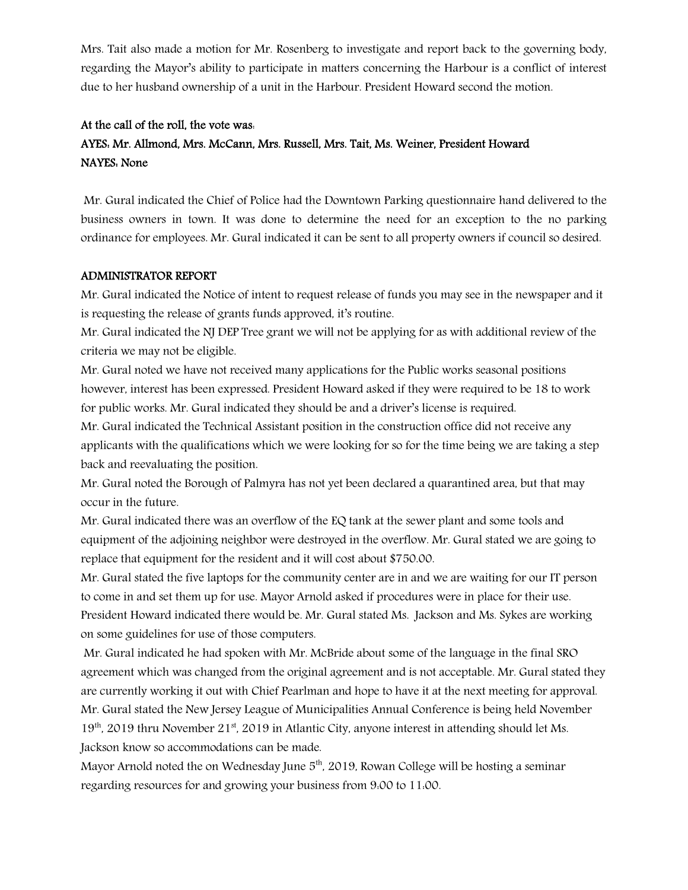Mrs. Tait also made a motion for Mr. Rosenberg to investigate and report back to the governing body, regarding the Mayor's ability to participate in matters concerning the Harbour is a conflict of interest due to her husband ownership of a unit in the Harbour. President Howard second the motion.

## At the call of the roll, the vote was:

# AYES: Mr. Allmond, Mrs. McCann, Mrs. Russell, Mrs. Tait, Ms. Weiner, President Howard NAYES: None

Mr. Gural indicated the Chief of Police had the Downtown Parking questionnaire hand delivered to the business owners in town. It was done to determine the need for an exception to the no parking ordinance for employees. Mr. Gural indicated it can be sent to all property owners if council so desired.

#### ADMINISTRATOR REPORT

Mr. Gural indicated the Notice of intent to request release of funds you may see in the newspaper and it is requesting the release of grants funds approved, it's routine.

Mr. Gural indicated the NJ DEP Tree grant we will not be applying for as with additional review of the criteria we may not be eligible.

Mr. Gural noted we have not received many applications for the Public works seasonal positions however, interest has been expressed. President Howard asked if they were required to be 18 to work for public works. Mr. Gural indicated they should be and a driver's license is required.

Mr. Gural indicated the Technical Assistant position in the construction office did not receive any applicants with the qualifications which we were looking for so for the time being we are taking a step back and reevaluating the position.

Mr. Gural noted the Borough of Palmyra has not yet been declared a quarantined area, but that may occur in the future.

Mr. Gural indicated there was an overflow of the EQ tank at the sewer plant and some tools and equipment of the adjoining neighbor were destroyed in the overflow. Mr. Gural stated we are going to replace that equipment for the resident and it will cost about \$750.00.

Mr. Gural stated the five laptops for the community center are in and we are waiting for our IT person to come in and set them up for use. Mayor Arnold asked if procedures were in place for their use. President Howard indicated there would be. Mr. Gural stated Ms. Jackson and Ms. Sykes are working on some guidelines for use of those computers.

Mr. Gural indicated he had spoken with Mr. McBride about some of the language in the final SRO agreement which was changed from the original agreement and is not acceptable. Mr. Gural stated they are currently working it out with Chief Pearlman and hope to have it at the next meeting for approval. Mr. Gural stated the New Jersey League of Municipalities Annual Conference is being held November 19<sup>th</sup>, 2019 thru November 21<sup>st</sup>, 2019 in Atlantic City, anyone interest in attending should let Ms. Jackson know so accommodations can be made.

Mayor Arnold noted the on Wednesday June  $5<sup>th</sup>$ , 2019, Rowan College will be hosting a seminar regarding resources for and growing your business from 9:00 to 11:00.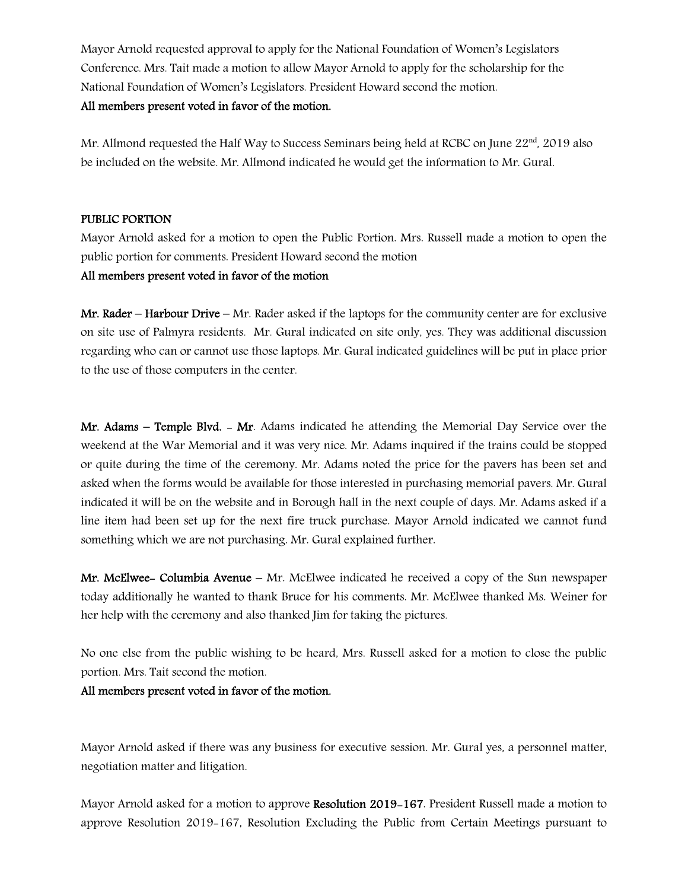Mayor Arnold requested approval to apply for the National Foundation of Women's Legislators Conference. Mrs. Tait made a motion to allow Mayor Arnold to apply for the scholarship for the National Foundation of Women's Legislators. President Howard second the motion.

# All members present voted in favor of the motion.

Mr. Allmond requested the Half Way to Success Seminars being held at RCBC on June  $22<sup>nd</sup>$ , 2019 also be included on the website. Mr. Allmond indicated he would get the information to Mr. Gural.

#### PUBLIC PORTION

Mayor Arnold asked for a motion to open the Public Portion. Mrs. Russell made a motion to open the public portion for comments. President Howard second the motion

#### All members present voted in favor of the motion

Mr. Rader – Harbour Drive – Mr. Rader asked if the laptops for the community center are for exclusive on site use of Palmyra residents. Mr. Gural indicated on site only, yes. They was additional discussion regarding who can or cannot use those laptops. Mr. Gural indicated guidelines will be put in place prior to the use of those computers in the center.

Mr. Adams – Temple Blvd. – Mr. Adams indicated he attending the Memorial Day Service over the weekend at the War Memorial and it was very nice. Mr. Adams inquired if the trains could be stopped or quite during the time of the ceremony. Mr. Adams noted the price for the pavers has been set and asked when the forms would be available for those interested in purchasing memorial pavers. Mr. Gural indicated it will be on the website and in Borough hall in the next couple of days. Mr. Adams asked if a line item had been set up for the next fire truck purchase. Mayor Arnold indicated we cannot fund something which we are not purchasing. Mr. Gural explained further.

**Mr. McElwee- Columbia Avenue** – Mr. McElwee indicated he received a copy of the Sun newspaper today additionally he wanted to thank Bruce for his comments. Mr. McElwee thanked Ms. Weiner for her help with the ceremony and also thanked Jim for taking the pictures.

No one else from the public wishing to be heard, Mrs. Russell asked for a motion to close the public portion. Mrs. Tait second the motion.

#### All members present voted in favor of the motion.

Mayor Arnold asked if there was any business for executive session. Mr. Gural yes, a personnel matter, negotiation matter and litigation.

Mayor Arnold asked for a motion to approve Resolution 2019-167. President Russell made a motion to approve Resolution 2019-167, Resolution Excluding the Public from Certain Meetings pursuant to